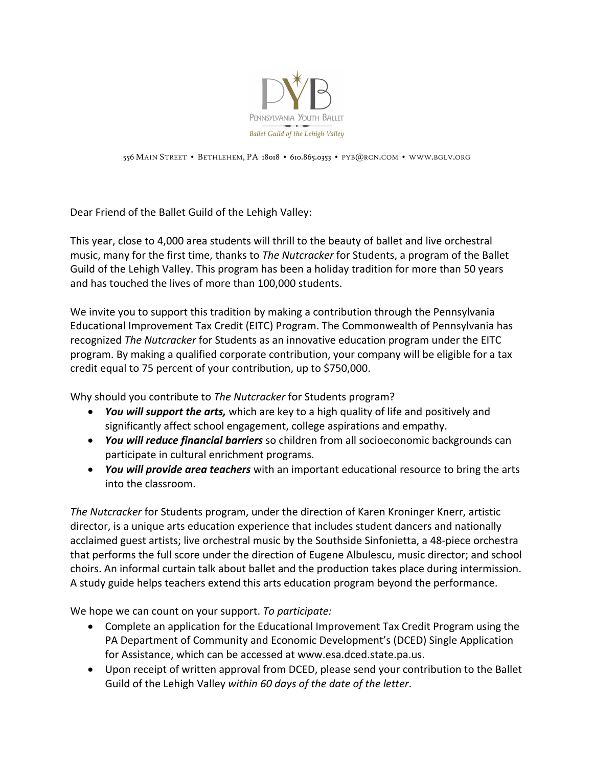

556 MAIN STREET • BETHLEHEM, PA 18018 • 610.865.0353 • PYB@RCN.COM • WWW.BGLV.ORG

Dear Friend of the Ballet Guild of the Lehigh Valley:

This year, close to 4,000 area students will thrill to the beauty of ballet and live orchestral music, many for the first time, thanks to *The Nutcracker* for Students, a program of the Ballet Guild of the Lehigh Valley. This program has been a holiday tradition for more than 50 years and has touched the lives of more than 100,000 students.

We invite you to support this tradition by making a contribution through the Pennsylvania Educational Improvement Tax Credit (EITC) Program. The Commonwealth of Pennsylvania has recognized *The Nutcracker* for Students as an innovative education program under the EITC program. By making a qualified corporate contribution, your company will be eligible for a tax credit equal to 75 percent of your contribution, up to \$750,000.

Why should you contribute to *The Nutcracker* for Students program?

- *You will support the arts,* which are key to a high quality of life and positively and significantly affect school engagement, college aspirations and empathy.
- *You will reduce financial barriers* so children from all socioeconomic backgrounds can participate in cultural enrichment programs.
- *You will provide area teachers* with an important educational resource to bring the arts into the classroom.

*The Nutcracker* for Students program, under the direction of Karen Kroninger Knerr, artistic director, is a unique arts education experience that includes student dancers and nationally acclaimed guest artists; live orchestral music by the Southside Sinfonietta, a 48-piece orchestra that performs the full score under the direction of Eugene Albulescu, music director; and school choirs. An informal curtain talk about ballet and the production takes place during intermission. A study guide helps teachers extend this arts education program beyond the performance.

We hope we can count on your support. *To participate:*

- Complete an application for the Educational Improvement Tax Credit Program using the PA Department of Community and Economic Development's (DCED) Single Application for Assistance, which can be accessed at www.esa.dced.state.pa.us.
- Upon receipt of written approval from DCED, please send your contribution to the Ballet Guild of the Lehigh Valley *within 60 days of the date of the letter*.